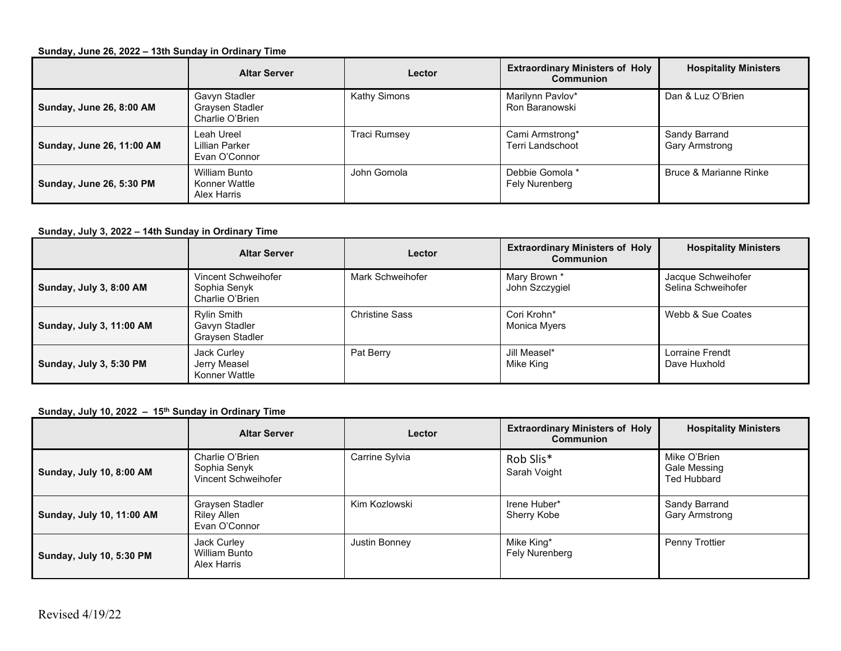### **Sunday, June 26, 2022 – 13th Sunday in Ordinary Time**

|                           | <b>Altar Server</b>                                 | Lector              | <b>Extraordinary Ministers of Holy</b><br><b>Communion</b> | <b>Hospitality Ministers</b>    |
|---------------------------|-----------------------------------------------------|---------------------|------------------------------------------------------------|---------------------------------|
| Sunday, June 26, 8:00 AM  | Gavyn Stadler<br>Graysen Stadler<br>Charlie O'Brien | <b>Kathy Simons</b> | Marilynn Pavlov*<br>Ron Baranowski                         | Dan & Luz O'Brien               |
| Sunday, June 26, 11:00 AM | Leah Ureel<br>Lillian Parker<br>Evan O'Connor       | <b>Traci Rumsey</b> | Cami Armstrong*<br>Terri Landschoot                        | Sandy Barrand<br>Gary Armstrong |
| Sunday, June 26, 5:30 PM  | William Bunto<br>Konner Wattle<br>Alex Harris       | John Gomola         | Debbie Gomola *<br>Fely Nurenberg                          | Bruce & Marianne Rinke          |

### **Sunday, July 3, 2022 – 14th Sunday in Ordinary Time**

|                          | <b>Altar Server</b>                                    | Lector                | <b>Extraordinary Ministers of Holy</b><br>Communion | <b>Hospitality Ministers</b>             |
|--------------------------|--------------------------------------------------------|-----------------------|-----------------------------------------------------|------------------------------------------|
| Sunday, July 3, 8:00 AM  | Vincent Schweihofer<br>Sophia Senyk<br>Charlie O'Brien | Mark Schweihofer      | Mary Brown *<br>John Szczygiel                      | Jacque Schweihofer<br>Selina Schweihofer |
| Sunday, July 3, 11:00 AM | Rylin Smith<br>Gavyn Stadler<br>Graysen Stadler        | <b>Christine Sass</b> | Cori Krohn*<br>Monica Myers                         | Webb & Sue Coates                        |
| Sunday, July 3, 5:30 PM  | Jack Curley<br>Jerry Measel<br>Konner Wattle           | Pat Berry             | Jill Measel*<br>Mike King                           | Lorraine Frendt<br>Dave Huxhold          |

### **Sunday, July 10, 2022 – 15th Sunday in Ordinary Time**

|                           | <b>Altar Server</b>                                    | Lector         | <b>Extraordinary Ministers of Holy</b><br>Communion | <b>Hospitality Ministers</b>                       |
|---------------------------|--------------------------------------------------------|----------------|-----------------------------------------------------|----------------------------------------------------|
| Sunday, July 10, 8:00 AM  | Charlie O'Brien<br>Sophia Senyk<br>Vincent Schweihofer | Carrine Sylvia | Rob Slis*<br>Sarah Voight                           | Mike O'Brien<br>Gale Messing<br><b>Ted Hubbard</b> |
| Sunday, July 10, 11:00 AM | Graysen Stadler<br>Riley Allen<br>Evan O'Connor        | Kim Kozlowski  | Irene Huber*<br>Sherry Kobe                         | Sandy Barrand<br>Gary Armstrong                    |
| Sunday, July 10, 5:30 PM  | Jack Curley<br>William Bunto<br>Alex Harris            | Justin Bonney  | Mike King*<br>Fely Nurenberg                        | Penny Trottier                                     |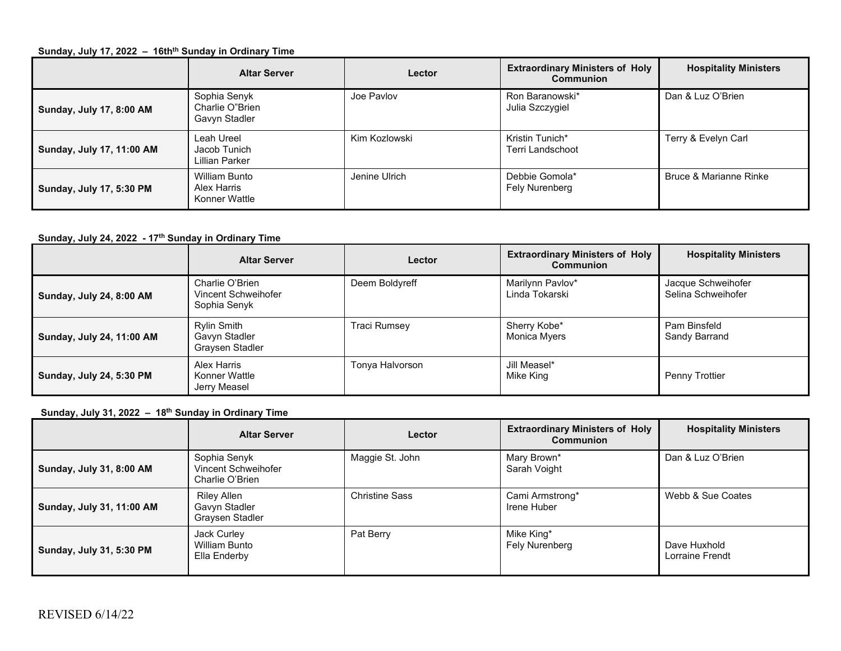### **Sunday, July 17, 2022 - 16th<sup>th</sup> Sunday in Ordinary Time**

|                           | <b>Altar Server</b>                                  | Lector        | <b>Extraordinary Ministers of Holy</b><br><b>Communion</b> | <b>Hospitality Ministers</b> |
|---------------------------|------------------------------------------------------|---------------|------------------------------------------------------------|------------------------------|
| Sunday, July 17, 8:00 AM  | Sophia Senyk<br>Charlie O"Brien<br>Gavyn Stadler     | Joe Pavlov    | Ron Baranowski*<br>Julia Szczygiel                         | Dan & Luz O'Brien            |
| Sunday, July 17, 11:00 AM | Leah Ureel<br>Jacob Tunich<br>Lillian Parker         | Kim Kozlowski | Kristin Tunich*<br>Terri Landschoot                        | Terry & Evelyn Carl          |
| Sunday, July 17, 5:30 PM  | <b>William Bunto</b><br>Alex Harris<br>Konner Wattle | Jenine Ulrich | Debbie Gomola*<br>Fely Nurenberg                           | Bruce & Marianne Rinke       |

## **Sunday, July 24, 2022 - 17th Sunday in Ordinary Time**

|                           | <b>Altar Server</b>                                    | Lector              | <b>Extraordinary Ministers of Holy</b><br><b>Communion</b> | <b>Hospitality Ministers</b>             |
|---------------------------|--------------------------------------------------------|---------------------|------------------------------------------------------------|------------------------------------------|
| Sunday, July 24, 8:00 AM  | Charlie O'Brien<br>Vincent Schweihofer<br>Sophia Senyk | Deem Boldyreff      | Marilynn Pavlov*<br>Linda Tokarski                         | Jacque Schweihofer<br>Selina Schweihofer |
| Sunday, July 24, 11:00 AM | Rylin Smith<br>Gavyn Stadler<br>Graysen Stadler        | <b>Traci Rumsey</b> | Sherry Kobe*<br>Monica Myers                               | Pam Binsfeld<br>Sandy Barrand            |
| Sunday, July 24, 5:30 PM  | Alex Harris<br>Konner Wattle<br>Jerry Measel           | Tonya Halvorson     | Jill Measel*<br>Mike King                                  | Penny Trottier                           |

# **Sunday, July 31, 2022 – 18th Sunday in Ordinary Time**

|                           | <b>Altar Server</b>                                    | Lector                | <b>Extraordinary Ministers of Holy</b><br><b>Communion</b> | <b>Hospitality Ministers</b>    |
|---------------------------|--------------------------------------------------------|-----------------------|------------------------------------------------------------|---------------------------------|
| Sunday, July 31, 8:00 AM  | Sophia Senyk<br>Vincent Schweihofer<br>Charlie O'Brien | Maggie St. John       | Mary Brown*<br>Sarah Voight                                | Dan & Luz O'Brien               |
| Sunday, July 31, 11:00 AM | Riley Allen<br>Gavyn Stadler<br>Graysen Stadler        | <b>Christine Sass</b> | Cami Armstrong*<br>Irene Huber                             | Webb & Sue Coates               |
| Sunday, July 31, 5:30 PM  | Jack Curley<br>William Bunto<br>Ella Enderby           | Pat Berry             | Mike King*<br>Fely Nurenberg                               | Dave Huxhold<br>Lorraine Frendt |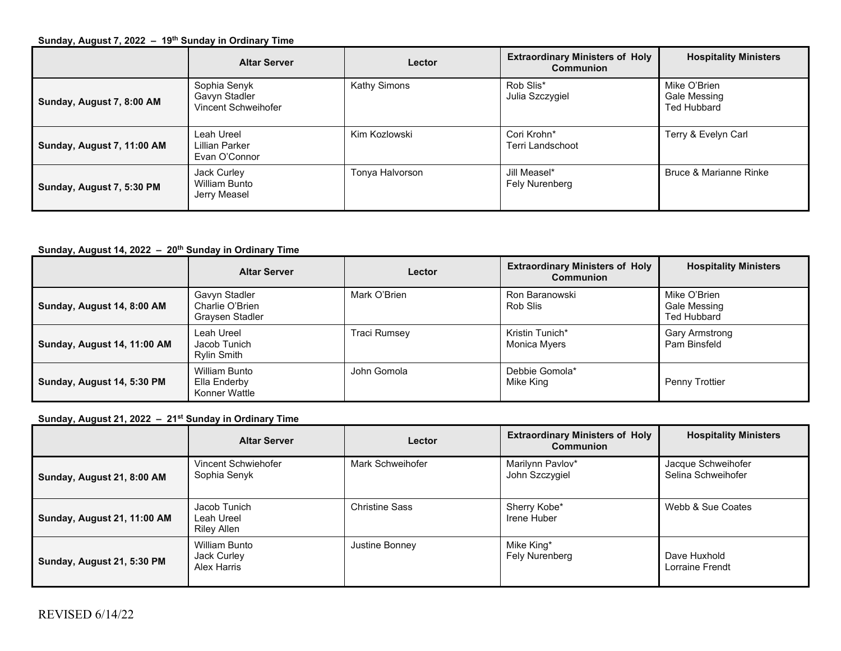#### **Sunday, August 7, 2022 – 19th Sunday in Ordinary Time**

|                            | <b>Altar Server</b>                                  | Lector          | <b>Extraordinary Ministers of Holy</b><br>Communion | <b>Hospitality Ministers</b>                       |
|----------------------------|------------------------------------------------------|-----------------|-----------------------------------------------------|----------------------------------------------------|
| Sunday, August 7, 8:00 AM  | Sophia Senyk<br>Gavyn Stadler<br>Vincent Schweihofer | Kathy Simons    | Rob Slis*<br>Julia Szczygiel                        | Mike O'Brien<br>Gale Messing<br><b>Ted Hubbard</b> |
| Sunday, August 7, 11:00 AM | Leah Ureel<br>Lillian Parker<br>Evan O'Connor        | Kim Kozlowski   | Cori Krohn*<br>Terri Landschoot                     | Terry & Evelyn Carl                                |
| Sunday, August 7, 5:30 PM  | Jack Curley<br>William Bunto<br>Jerry Measel         | Tonya Halvorson | Jill Measel*<br>Fely Nurenberg                      | Bruce & Marianne Rinke                             |

# **Sunday, August 14, 2022 – 20th Sunday in Ordinary Time**

|                             | <b>Altar Server</b>                                 | Lector              | <b>Extraordinary Ministers of Holy</b><br><b>Communion</b> | <b>Hospitality Ministers</b>                       |
|-----------------------------|-----------------------------------------------------|---------------------|------------------------------------------------------------|----------------------------------------------------|
| Sunday, August 14, 8:00 AM  | Gavyn Stadler<br>Charlie O'Brien<br>Graysen Stadler | Mark O'Brien        | Ron Baranowski<br>Rob Slis                                 | Mike O'Brien<br>Gale Messing<br><b>Ted Hubbard</b> |
| Sunday, August 14, 11:00 AM | Leah Ureel<br>Jacob Tunich<br><b>Rylin Smith</b>    | <b>Traci Rumsey</b> | Kristin Tunich*<br>Monica Myers                            | Gary Armstrong<br>Pam Binsfeld                     |
| Sunday, August 14, 5:30 PM  | William Bunto<br>Ella Enderby<br>Konner Wattle      | John Gomola         | Debbie Gomola*<br>Mike King                                | Penny Trottier                                     |

**Sunday, August 21, 2022 – 21st Sunday in Ordinary Time**

|                             | <b>Altar Server</b>                                       | Lector                | <b>Extraordinary Ministers of Holy</b><br><b>Communion</b> | <b>Hospitality Ministers</b>             |
|-----------------------------|-----------------------------------------------------------|-----------------------|------------------------------------------------------------|------------------------------------------|
| Sunday, August 21, 8:00 AM  | Vincent Schwiehofer<br>Sophia Senyk                       | Mark Schweihofer      | Marilynn Pavlov*<br>John Szczygiel                         | Jacque Schweihofer<br>Selina Schweihofer |
| Sunday, August 21, 11:00 AM | Jacob Tunich<br>Leah Ureel<br>Riley Allen                 | <b>Christine Sass</b> | Sherry Kobe*<br>Irene Huber                                | Webb & Sue Coates                        |
| Sunday, August 21, 5:30 PM  | <b>William Bunto</b><br>Jack Curley<br><b>Alex Harris</b> | Justine Bonney        | Mike King*<br>Fely Nurenberg                               | Dave Huxhold<br>Lorraine Frendt          |